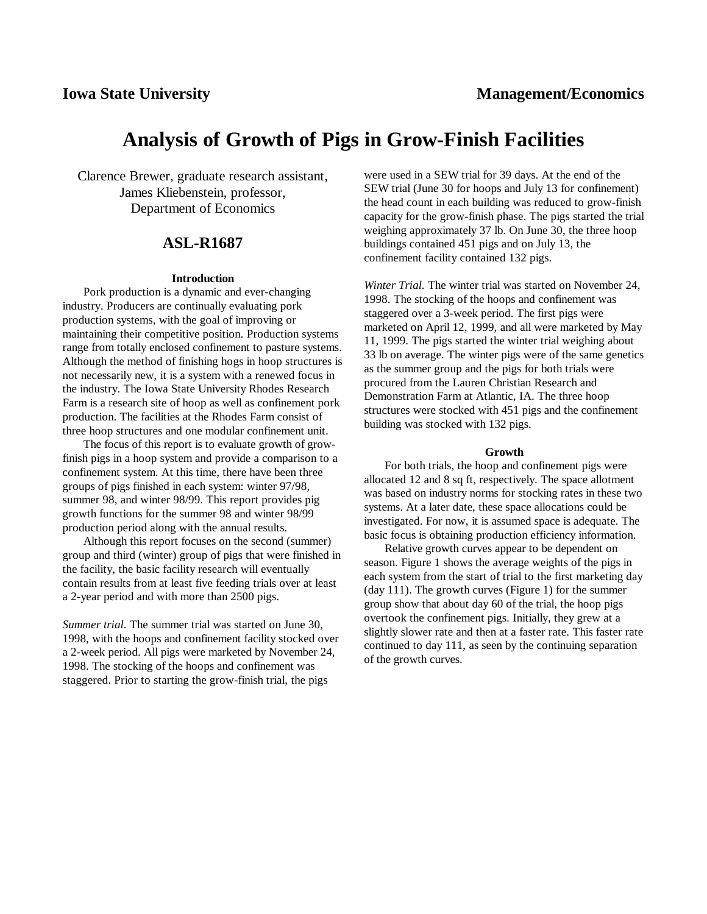# **Analysis of Growth of Pigs in Grow-Finish Facilities**

Clarence Brewer, graduate research assistant, James Kliebenstein, professor, Department of Economics

## **ASL-R1687**

### **Introduction**

Pork production is a dynamic and ever-changing industry. Producers are continually evaluating pork production systems, with the goal of improving or maintaining their competitive position. Production systems range from totally enclosed confinement to pasture systems. Although the method of finishing hogs in hoop structures is not necessarily new, it is a system with a renewed focus in the industry. The Iowa State University Rhodes Research Farm is a research site of hoop as well as confinement pork production. The facilities at the Rhodes Farm consist of three hoop structures and one modular confinement unit.

The focus of this report is to evaluate growth of growfinish pigs in a hoop system and provide a comparison to a confinement system. At this time, there have been three groups of pigs finished in each system: winter 97/98, summer 98, and winter 98/99. This report provides pig growth functions for the summer 98 and winter 98/99 production period along with the annual results.

Although this report focuses on the second (summer) group and third (winter) group of pigs that were finished in the facility, the basic facility research will eventually contain results from at least five feeding trials over at least a 2-year period and with more than 2500 pigs.

*Summer trial.* The summer trial was started on June 30, 1998, with the hoops and confinement facility stocked over a 2-week period. All pigs were marketed by November 24, 1998. The stocking of the hoops and confinement was staggered. Prior to starting the grow-finish trial, the pigs

were used in a SEW trial for 39 days. At the end of the SEW trial (June 30 for hoops and July 13 for confinement) the head count in each building was reduced to grow-finish capacity for the grow-finish phase. The pigs started the trial weighing approximately 37 lb. On June 30, the three hoop buildings contained 451 pigs and on July 13, the confinement facility contained 132 pigs.

*Winter Trial.* The winter trial was started on November 24, 1998. The stocking of the hoops and confinement was staggered over a 3-week period. The first pigs were marketed on April 12, 1999, and all were marketed by May 11, 1999. The pigs started the winter trial weighing about 33 lb on average. The winter pigs were of the same genetics as the summer group and the pigs for both trials were procured from the Lauren Christian Research and Demonstration Farm at Atlantic, IA. The three hoop structures were stocked with 451 pigs and the confinement building was stocked with 132 pigs.

#### **Growth**

For both trials, the hoop and confinement pigs were allocated 12 and 8 sq ft, respectively. The space allotment was based on industry norms for stocking rates in these two systems. At a later date, these space allocations could be investigated. For now, it is assumed space is adequate. The basic focus is obtaining production efficiency information.

Relative growth curves appear to be dependent on season. Figure 1 shows the average weights of the pigs in each system from the start of trial to the first marketing day (day 111). The growth curves (Figure 1) for the summer group show that about day 60 of the trial, the hoop pigs overtook the confinement pigs. Initially, they grew at a slightly slower rate and then at a faster rate. This faster rate continued to day 111, as seen by the continuing separation of the growth curves.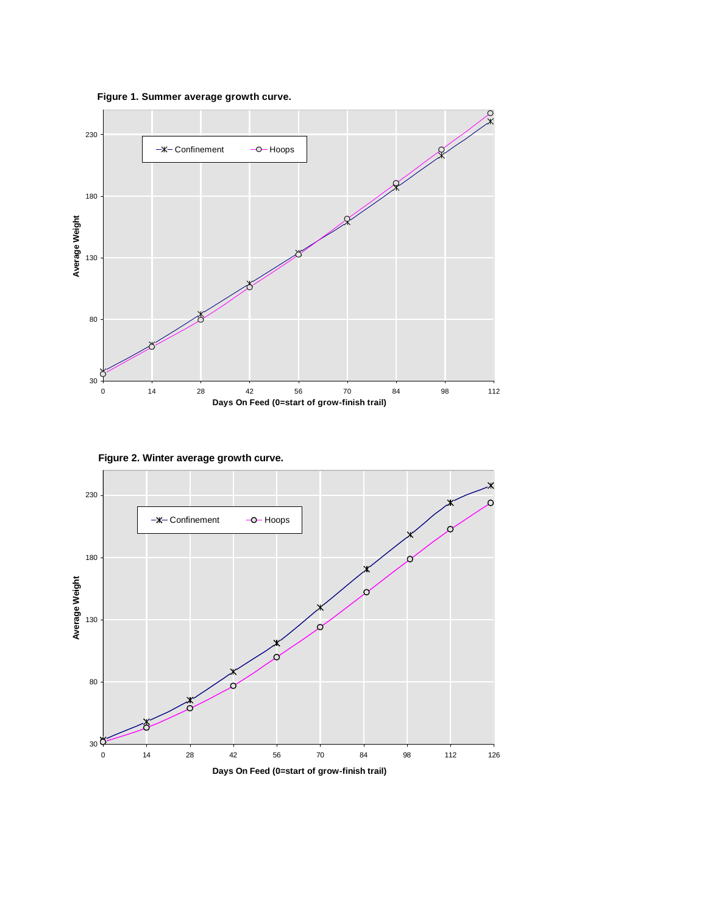